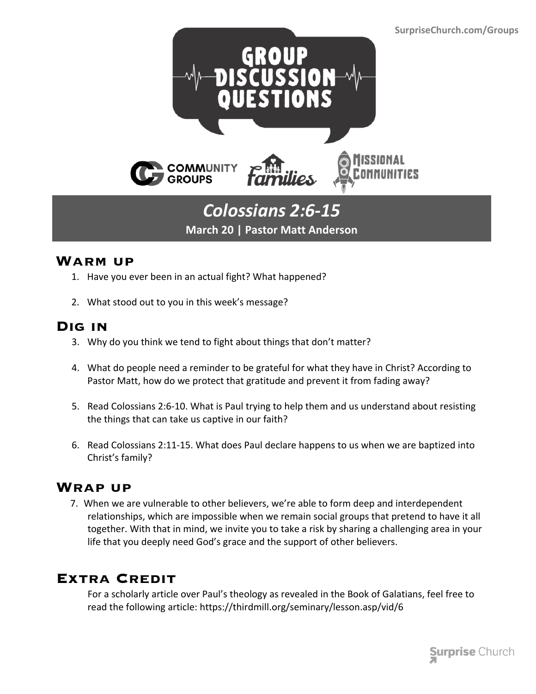

# *Colossians 2:6-15* **March 20 | Pastor Matt Anderson**

### **Warm up**

- 1. Have you ever been in an actual fight? What happened?
- 2. What stood out to you in this week's message?

### **Dig in**

- 3. Why do you think we tend to fight about things that don't matter?
- 4. What do people need a reminder to be grateful for what they have in Christ? According to Pastor Matt, how do we protect that gratitude and prevent it from fading away?
- 5. Read Colossians 2:6-10. What is Paul trying to help them and us understand about resisting the things that can take us captive in our faith?
- 6. Read Colossians 2:11-15. What does Paul declare happens to us when we are baptized into Christ's family?

### **Wrap up**

 7. When we are vulnerable to other believers, we're able to form deep and interdependent relationships, which are impossible when we remain social groups that pretend to have it all together. With that in mind, we invite you to take a risk by sharing a challenging area in your life that you deeply need God's grace and the support of other believers.

## **Extra Credit**

For a scholarly article over Paul's theology as revealed in the Book of Galatians, feel free to read the following article: https://thirdmill.org/seminary/lesson.asp/vid/6